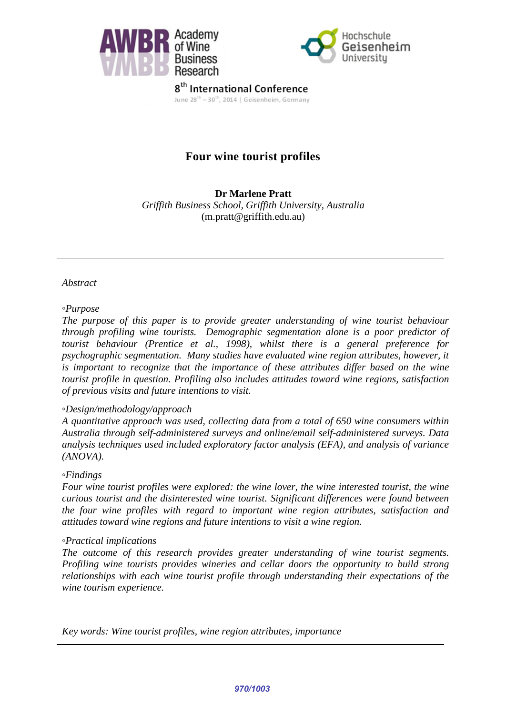



8<sup>th</sup> International Conference June 28<sup>th</sup> - 30<sup>th</sup>, 2014 | Geisenheim, Germany

# **Four wine tourist profiles**

#### **Dr Marlene Pratt**  *Griffith Business School, Griffith University, Australia*  (m.pratt@griffith.edu.au)

#### *Abstract*

#### *◦Purpose*

*The purpose of this paper is to provide greater understanding of wine tourist behaviour through profiling wine tourists. Demographic segmentation alone is a poor predictor of tourist behaviour [\(Prentice et al., 1998\)](#page-10-0), whilst there is a general preference for psychographic segmentation. Many studies have evaluated wine region attributes, however, it*  is important to recognize that the importance of these attributes differ based on the wine *tourist profile in question. Profiling also includes attitudes toward wine regions, satisfaction of previous visits and future intentions to visit.* 

#### *◦Design/methodology/approach*

*A quantitative approach was used, collecting data from a total of 650 wine consumers within Australia through self-administered surveys and online/email self-administered surveys. Data analysis techniques used included exploratory factor analysis (EFA), and analysis of variance (ANOVA).*

#### *◦Findings*

*Four wine tourist profiles were explored: the wine lover, the wine interested tourist, the wine curious tourist and the disinterested wine tourist. Significant differences were found between the four wine profiles with regard to important wine region attributes, satisfaction and attitudes toward wine regions and future intentions to visit a wine region.*

#### *◦Practical implications*

*The outcome of this research provides greater understanding of wine tourist segments. Profiling wine tourists provides wineries and cellar doors the opportunity to build strong relationships with each wine tourist profile through understanding their expectations of the wine tourism experience.* 

*Key words: Wine tourist profiles, wine region attributes, importance*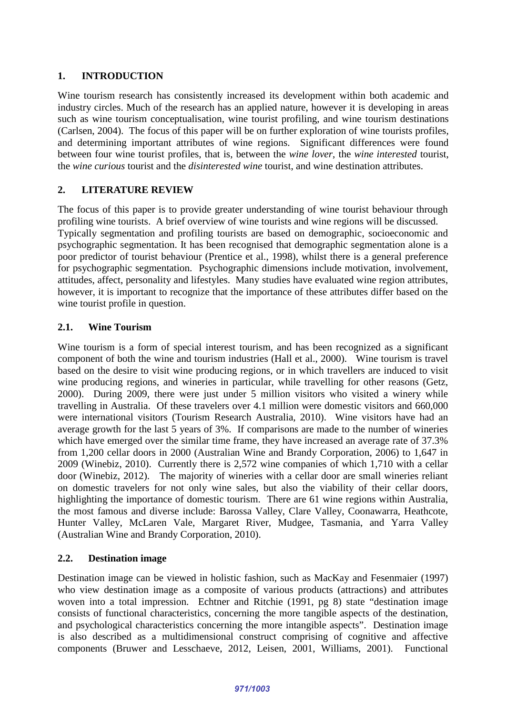## **1. INTRODUCTION**

Wine tourism research has consistently increased its development within both academic and industry circles. Much of the research has an applied nature, however it is developing in areas such as wine tourism conceptualisation, wine tourist profiling, and wine tourism destinations [\(Carlsen, 2004\)](#page-9-0). The focus of this paper will be on further exploration of wine tourists profiles, and determining important attributes of wine regions. Significant differences were found between four wine tourist profiles, that is, between the *wine lover*, the *wine interested* tourist, the *wine curious* tourist and the *disinterested wine* tourist, and wine destination attributes.

### **2. LITERATURE REVIEW**

The focus of this paper is to provide greater understanding of wine tourist behaviour through profiling wine tourists. A brief overview of wine tourists and wine regions will be discussed. Typically segmentation and profiling tourists are based on demographic, socioeconomic and psychographic segmentation. It has been recognised that demographic segmentation alone is a poor predictor of tourist behaviour [\(Prentice et al., 1998\)](#page-10-0), whilst there is a general preference for psychographic segmentation. Psychographic dimensions include motivation, involvement, attitudes, affect, personality and lifestyles. Many studies have evaluated wine region attributes, however, it is important to recognize that the importance of these attributes differ based on the wine tourist profile in question.

### **2.1. Wine Tourism**

Wine tourism is a form of special interest tourism, and has been recognized as a significant component of both the wine and tourism industries [\(Hall et al., 2000\)](#page-9-1). Wine tourism is travel based on the desire to visit wine producing regions, or in which travellers are induced to visit wine producing regions, and wineries in particular, while travelling for other reasons [\(Getz,](#page-9-2)  [2000\)](#page-9-2). During 2009, there were just under 5 million visitors who visited a winery while travelling in Australia. Of these travelers over 4.1 million were domestic visitors and 660,000 were international visitors [\(Tourism Research Australia, 2010\)](#page-10-1). Wine visitors have had an average growth for the last 5 years of 3%. If comparisons are made to the number of wineries which have emerged over the similar time frame, they have increased an average rate of 37.3% from 1,200 cellar doors in 2000 [\(Australian Wine and Brandy Corporation, 2006\)](#page-8-0) to 1,647 in 2009 [\(Winebiz, 2010\)](#page-10-2). Currently there is 2,572 wine companies of which 1,710 with a cellar door [\(Winebiz, 2012\)](#page-10-3). The majority of wineries with a cellar door are small wineries reliant on domestic travelers for not only wine sales, but also the viability of their cellar doors, highlighting the importance of domestic tourism. There are 61 wine regions within Australia, the most famous and diverse include: Barossa Valley, Clare Valley, Coonawarra, Heathcote, Hunter Valley, McLaren Vale, Margaret River, Mudgee, Tasmania, and Yarra Valley [\(Australian Wine and Brandy Corporation, 2010\)](#page-9-3).

### **2.2. Destination image**

Destination image can be viewed in holistic fashion, such as MacKay and Fesenmaier (1997) who view destination image as a composite of various products (attractions) and attributes woven into a total impression. Echtner and Ritchie [\(1991, pg 8\)](#page-9-4) state "destination image consists of functional characteristics, concerning the more tangible aspects of the destination, and psychological characteristics concerning the more intangible aspects". Destination image is also described as a multidimensional construct comprising of cognitive and affective components [\(Bruwer and Lesschaeve, 2012,](#page-9-5) [Leisen, 2001,](#page-10-4) [Williams, 2001\)](#page-10-5). Functional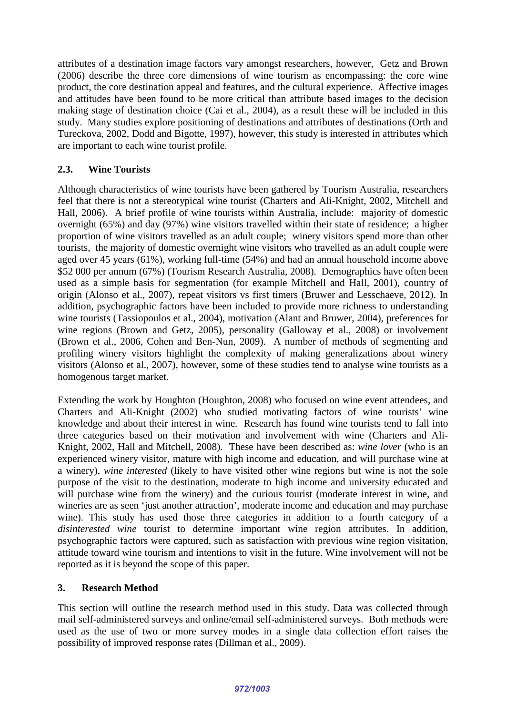attributes of a destination image factors vary amongst researchers, however, Getz and Brown [\(2006\)](#page-9-6) describe the three core dimensions of wine tourism as encompassing: the core wine product, the core destination appeal and features, and the cultural experience. Affective images and attitudes have been found to be more critical than attribute based images to the decision making stage of destination choice [\(Cai et al., 2004\)](#page-9-7), as a result these will be included in this study. Many studies explore positioning of destinations and attributes of destinations [\(Orth and](#page-10-6)  [Tureckova, 2002,](#page-10-6) [Dodd and Bigotte, 1997\)](#page-9-8), however, this study is interested in attributes which are important to each wine tourist profile.

### **2.3. Wine Tourists**

Although characteristics of wine tourists have been gathered by Tourism Australia, researchers feel that there is not a stereotypical wine tourist [\(Charters and Ali-Knight, 2002,](#page-9-9) [Mitchell and](#page-10-7)  [Hall, 2006\)](#page-10-7). A brief profile of wine tourists within Australia, include: majority of domestic overnight (65%) and day (97%) wine visitors travelled within their state of residence; a higher proportion of wine visitors travelled as an adult couple; winery visitors spend more than other tourists, the majority of domestic overnight wine visitors who travelled as an adult couple were aged over 45 years (61%), working full-time (54%) and had an annual household income above \$52 000 per annum (67%) [\(Tourism Research Australia, 2008\)](#page-10-8). Demographics have often been used as a simple basis for segmentation [\(for example Mitchell and Hall, 2001\)](#page-10-9), country of origin [\(Alonso et al., 2007\)](#page-8-1), repeat visitors vs first timers [\(Bruwer and Lesschaeve, 2012\)](#page-9-5). In addition, psychographic factors have been included to provide more richness to understanding wine tourists [\(Tassiopoulos et al., 2004\)](#page-10-10), motivation [\(Alant and Bruwer, 2004\)](#page-8-2), preferences for wine regions [\(Brown and Getz, 2005\)](#page-9-10), personality [\(Galloway et al., 2008\)](#page-9-11) or involvement [\(Brown et al., 2006,](#page-9-12) [Cohen and Ben-Nun, 2009\)](#page-9-13). A number of methods of segmenting and profiling winery visitors highlight the complexity of making generalizations about winery visitors [\(Alonso et al., 2007\)](#page-8-1), however, some of these studies tend to analyse wine tourists as a homogenous target market.

Extending the work by Houghton [\(Houghton, 2008\)](#page-9-14) who focused on wine event attendees, and Charters and Ali-Knight [\(2002\)](#page-9-9) who studied motivating factors of wine tourists' wine knowledge and about their interest in wine. Research has found wine tourists tend to fall into three categories based on their motivation and involvement with wine [\(Charters and Ali-](#page-9-9)[Knight, 2002,](#page-9-9) [Hall and Mitchell, 2008\)](#page-9-15). These have been described as: *wine lover* (who is an experienced winery visitor, mature with high income and education, and will purchase wine at a winery), *wine interested* (likely to have visited other wine regions but wine is not the sole purpose of the visit to the destination, moderate to high income and university educated and will purchase wine from the winery) and the curious tourist (moderate interest in wine, and wineries are as seen 'just another attraction', moderate income and education and may purchase wine). This study has used those three categories in addition to a fourth category of a *disinterested wine* tourist to determine important wine region attributes. In addition, psychographic factors were captured, such as satisfaction with previous wine region visitation, attitude toward wine tourism and intentions to visit in the future. Wine involvement will not be reported as it is beyond the scope of this paper.

### **3. Research Method**

This section will outline the research method used in this study. Data was collected through mail self-administered surveys and online/email self-administered surveys. Both methods were used as the use of two or more survey modes in a single data collection effort raises the possibility of improved response rates [\(Dillman et al., 2009\)](#page-9-16).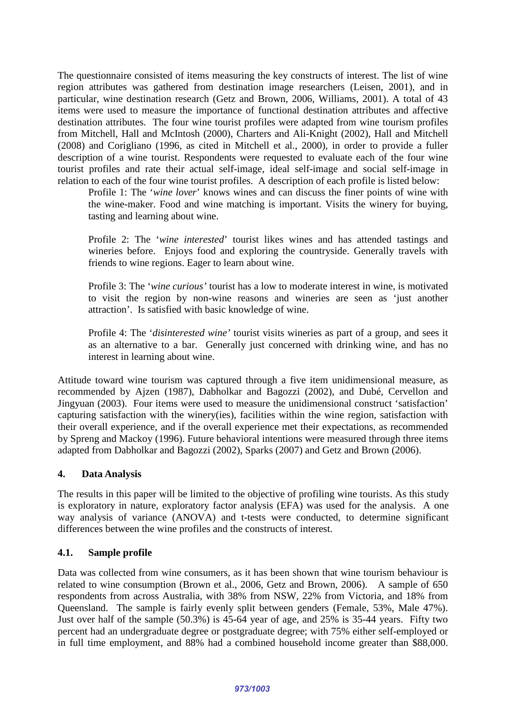The questionnaire consisted of items measuring the key constructs of interest. The list of wine region attributes was gathered from destination image researchers [\(Leisen, 2001\)](#page-10-4), and in particular, wine destination research [\(Getz and Brown, 2006,](#page-9-6) [Williams, 2001\)](#page-10-5). A total of 43 items were used to measure the importance of functional destination attributes and affective destination attributes. The four wine tourist profiles were adapted from wine tourism profiles from Mitchell, Hall and McIntosh [\(2000\)](#page-10-11), Charters and Ali-Knight [\(2002\)](#page-9-9), Hall and Mitchell [\(2008\)](#page-9-15) and Corigliano [\(1996, as cited in Mitchell et al., 2000\)](#page-10-11), in order to provide a fuller description of a wine tourist. Respondents were requested to evaluate each of the four wine tourist profiles and rate their actual self-image, ideal self-image and social self-image in relation to each of the four wine tourist profiles. A description of each profile is listed below:

Profile 1: The '*wine lover*' knows wines and can discuss the finer points of wine with the wine-maker. Food and wine matching is important. Visits the winery for buying, tasting and learning about wine.

Profile 2: The '*wine interested*' tourist likes wines and has attended tastings and wineries before. Enjoys food and exploring the countryside. Generally travels with friends to wine regions. Eager to learn about wine.

Profile 3: The '*wine curious'* tourist has a low to moderate interest in wine, is motivated to visit the region by non-wine reasons and wineries are seen as 'just another attraction'. Is satisfied with basic knowledge of wine.

Profile 4: The '*disinterested wine'* tourist visits wineries as part of a group, and sees it as an alternative to a bar. Generally just concerned with drinking wine, and has no interest in learning about wine.

Attitude toward wine tourism was captured through a five item unidimensional measure, as recommended by Ajzen [\(1987\)](#page-8-3), Dabholkar and Bagozzi [\(2002\)](#page-9-17), and Dubé, Cervellon and Jingyuan [\(2003\)](#page-9-18). Four items were used to measure the unidimensional construct 'satisfaction' capturing satisfaction with the winery(ies), facilities within the wine region, satisfaction with their overall experience, and if the overall experience met their expectations, as recommended by Spreng and Mackoy [\(1996\)](#page-10-12). Future behavioral intentions were measured through three items adapted from Dabholkar and Bagozzi [\(2002\)](#page-9-17), Sparks [\(2007\)](#page-10-13) and Getz and Brown [\(2006\)](#page-9-6).

### **4. Data Analysis**

The results in this paper will be limited to the objective of profiling wine tourists. As this study is exploratory in nature, exploratory factor analysis (EFA) was used for the analysis. A one way analysis of variance (ANOVA) and t-tests were conducted, to determine significant differences between the wine profiles and the constructs of interest.

### **4.1. Sample profile**

Data was collected from wine consumers, as it has been shown that wine tourism behaviour is related to wine consumption [\(Brown et al., 2006,](#page-9-12) [Getz and Brown, 2006\)](#page-9-6). A sample of 650 respondents from across Australia, with 38% from NSW, 22% from Victoria, and 18% from Queensland. The sample is fairly evenly split between genders (Female, 53%, Male 47%). Just over half of the sample (50.3%) is 45-64 year of age, and 25% is 35-44 years. Fifty two percent had an undergraduate degree or postgraduate degree; with 75% either self-employed or in full time employment, and 88% had a combined household income greater than \$88,000.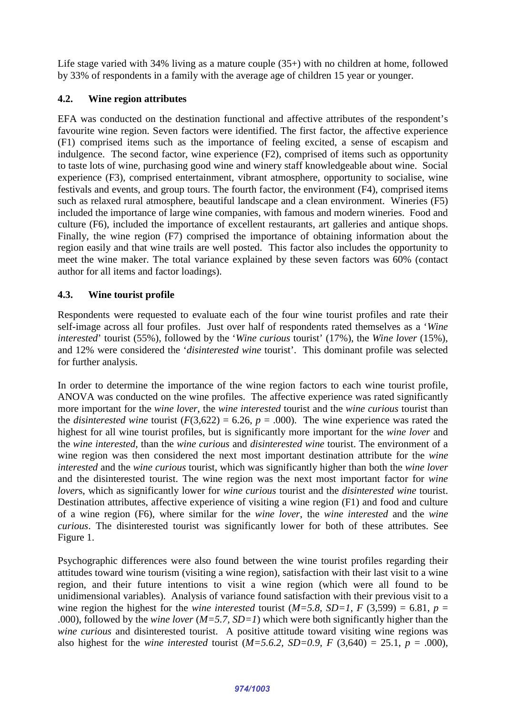Life stage varied with 34% living as a mature couple (35+) with no children at home, followed by 33% of respondents in a family with the average age of children 15 year or younger.

### **4.2. Wine region attributes**

EFA was conducted on the destination functional and affective attributes of the respondent's favourite wine region. Seven factors were identified. The first factor, the affective experience (F1) comprised items such as the importance of feeling excited, a sense of escapism and indulgence. The second factor, wine experience (F2), comprised of items such as opportunity to taste lots of wine, purchasing good wine and winery staff knowledgeable about wine. Social experience (F3), comprised entertainment, vibrant atmosphere, opportunity to socialise, wine festivals and events, and group tours. The fourth factor, the environment (F4), comprised items such as relaxed rural atmosphere, beautiful landscape and a clean environment. Wineries (F5) included the importance of large wine companies, with famous and modern wineries. Food and culture (F6), included the importance of excellent restaurants, art galleries and antique shops. Finally, the wine region (F7) comprised the importance of obtaining information about the region easily and that wine trails are well posted. This factor also includes the opportunity to meet the wine maker. The total variance explained by these seven factors was 60% (contact author for all items and factor loadings).

### **4.3. Wine tourist profile**

Respondents were requested to evaluate each of the four wine tourist profiles and rate their self-image across all four profiles. Just over half of respondents rated themselves as a '*Wine interested*' tourist (55%), followed by the '*Wine curious* tourist' (17%), the *Wine lover* (15%), and 12% were considered the '*disinterested wine* tourist'. This dominant profile was selected for further analysis.

In order to determine the importance of the wine region factors to each wine tourist profile, ANOVA was conducted on the wine profiles. The affective experience was rated significantly more important for the *wine lover*, the *wine interested* tourist and the *wine curious* tourist than the *disinterested wine* tourist  $(F(3,622) = 6.26, p = .000)$ . The wine experience was rated the highest for all wine tourist profiles, but is significantly more important for the *wine lover* and the *wine interested*, than the *wine curious* and *disinterested wine* tourist. The environment of a wine region was then considered the next most important destination attribute for the *wine interested* and the *wine curious* tourist, which was significantly higher than both the *wine lover* and the disinterested tourist. The wine region was the next most important factor for *wine lover*s, which as significantly lower for *wine curious* tourist and the *disinterested wine* tourist. Destination attributes, affective experience of visiting a wine region (F1) and food and culture of a wine region (F6), where similar for the *wine lover*, the *wine interested* and the *wine curious*. The disinterested tourist was significantly lower for both of these attributes. See Figure 1.

Psychographic differences were also found between the wine tourist profiles regarding their attitudes toward wine tourism (visiting a wine region), satisfaction with their last visit to a wine region, and their future intentions to visit a wine region (which were all found to be unidimensional variables). Analysis of variance found satisfaction with their previous visit to a wine region the highest for the *wine interested* tourist ( $M=5.8$ ,  $SD=1$ ,  $F(3,599) = 6.81$ ,  $p=$ .000), followed by the *wine lover* (*M=5.7, SD=1*) which were both significantly higher than the *wine curious* and disinterested tourist. A positive attitude toward visiting wine regions was also highest for the *wine interested* tourist  $(M=5.6.2, SD=0.9, F(3,640) = 25.1, p = .000)$ ,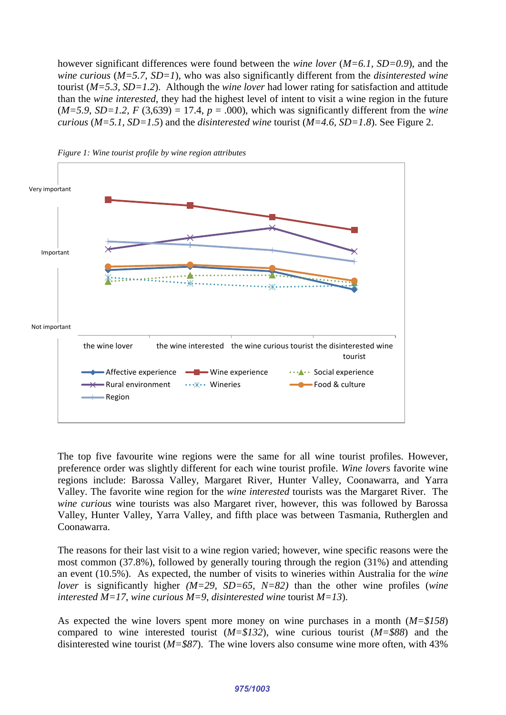however significant differences were found between the *wine lover* (*M=6.1, SD=0.9*), and the *wine curious* (*M=5.7, SD=1*), who was also significantly different from the *disinterested wine* tourist (*M=5.3, SD=1.2*). Although the *wine lover* had lower rating for satisfaction and attitude than the *wine interested*, they had the highest level of intent to visit a wine region in the future  $(M=5.9, SD=1.2, F(3.639) = 17.4, p = .000)$ , which was significantly different from the *wine curious* (*M=5.1, SD=1.5*) and the *disinterested wine* tourist (*M=4.6, SD=1.8*). See Figure 2.





The top five favourite wine regions were the same for all wine tourist profiles. However, preference order was slightly different for each wine tourist profile. *Wine lover*s favorite wine regions include: Barossa Valley, Margaret River, Hunter Valley, Coonawarra, and Yarra Valley. The favorite wine region for the *wine interested* tourists was the Margaret River. The *wine curious* wine tourists was also Margaret river, however, this was followed by Barossa Valley, Hunter Valley, Yarra Valley, and fifth place was between Tasmania, Rutherglen and Coonawarra.

The reasons for their last visit to a wine region varied; however, wine specific reasons were the most common (37.8%), followed by generally touring through the region (31%) and attending an event (10.5%). As expected, the number of visits to wineries within Australia for the *wine lover* is significantly higher *(M=29, SD=65, N=82)* than the other wine profiles (*wine interested M=17*, *wine curious M=9*, *disinterested wine* tourist *M=13*).

As expected the wine lovers spent more money on wine purchases in a month (*M=\$158*) compared to wine interested tourist (*M=\$132*), wine curious tourist (*M=\$88*) and the disinterested wine tourist (*M=\$87*). The wine lovers also consume wine more often, with 43%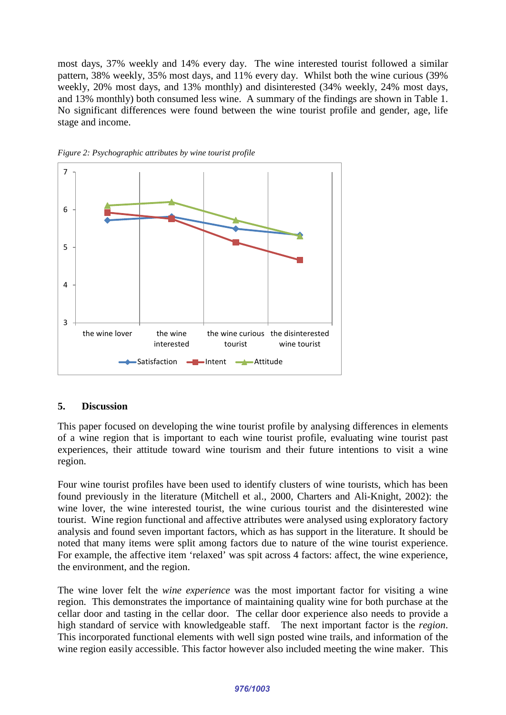most days, 37% weekly and 14% every day. The wine interested tourist followed a similar pattern, 38% weekly, 35% most days, and 11% every day. Whilst both the wine curious (39% weekly, 20% most days, and 13% monthly) and disinterested (34% weekly, 24% most days, and 13% monthly) both consumed less wine. A summary of the findings are shown in Table 1. No significant differences were found between the wine tourist profile and gender, age, life stage and income.





#### **5. Discussion**

This paper focused on developing the wine tourist profile by analysing differences in elements of a wine region that is important to each wine tourist profile, evaluating wine tourist past experiences, their attitude toward wine tourism and their future intentions to visit a wine region.

Four wine tourist profiles have been used to identify clusters of wine tourists, which has been found previously in the literature [\(Mitchell et al., 2000,](#page-10-11) [Charters and Ali-Knight, 2002\)](#page-9-9): the wine lover, the wine interested tourist, the wine curious tourist and the disinterested wine tourist. Wine region functional and affective attributes were analysed using exploratory factory analysis and found seven important factors, which as has support in the literature. It should be noted that many items were split among factors due to nature of the wine tourist experience. For example, the affective item 'relaxed' was spit across 4 factors: affect, the wine experience, the environment, and the region.

The wine lover felt the *wine experience* was the most important factor for visiting a wine region. This demonstrates the importance of maintaining quality wine for both purchase at the cellar door and tasting in the cellar door. The cellar door experience also needs to provide a high standard of service with knowledgeable staff. The next important factor is the *region*. This incorporated functional elements with well sign posted wine trails, and information of the wine region easily accessible. This factor however also included meeting the wine maker. This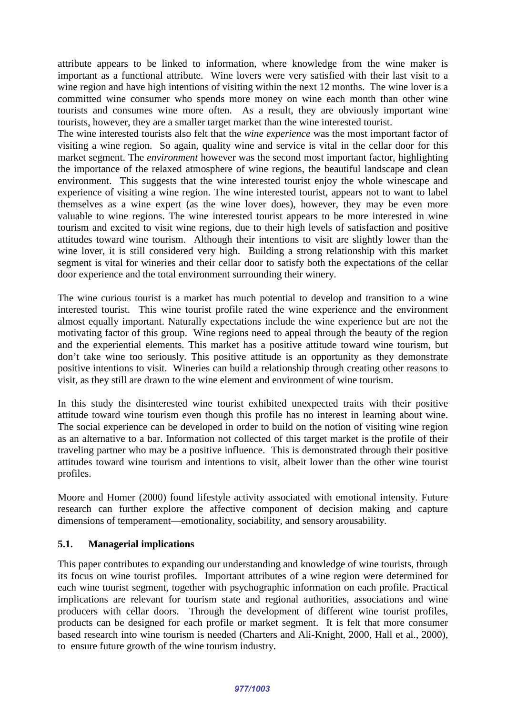attribute appears to be linked to information, where knowledge from the wine maker is important as a functional attribute. Wine lovers were very satisfied with their last visit to a wine region and have high intentions of visiting within the next 12 months. The wine lover is a committed wine consumer who spends more money on wine each month than other wine tourists and consumes wine more often. As a result, they are obviously important wine tourists, however, they are a smaller target market than the wine interested tourist.

The wine interested tourists also felt that the *wine experience* was the most important factor of visiting a wine region. So again, quality wine and service is vital in the cellar door for this market segment. The *environment* however was the second most important factor, highlighting the importance of the relaxed atmosphere of wine regions, the beautiful landscape and clean environment. This suggests that the wine interested tourist enjoy the whole winescape and experience of visiting a wine region. The wine interested tourist, appears not to want to label themselves as a wine expert (as the wine lover does), however, they may be even more valuable to wine regions. The wine interested tourist appears to be more interested in wine tourism and excited to visit wine regions, due to their high levels of satisfaction and positive attitudes toward wine tourism. Although their intentions to visit are slightly lower than the wine lover, it is still considered very high. Building a strong relationship with this market segment is vital for wineries and their cellar door to satisfy both the expectations of the cellar door experience and the total environment surrounding their winery.

The wine curious tourist is a market has much potential to develop and transition to a wine interested tourist. This wine tourist profile rated the wine experience and the environment almost equally important. Naturally expectations include the wine experience but are not the motivating factor of this group. Wine regions need to appeal through the beauty of the region and the experiential elements. This market has a positive attitude toward wine tourism, but don't take wine too seriously. This positive attitude is an opportunity as they demonstrate positive intentions to visit. Wineries can build a relationship through creating other reasons to visit, as they still are drawn to the wine element and environment of wine tourism.

In this study the disinterested wine tourist exhibited unexpected traits with their positive attitude toward wine tourism even though this profile has no interest in learning about wine. The social experience can be developed in order to build on the notion of visiting wine region as an alternative to a bar. Information not collected of this target market is the profile of their traveling partner who may be a positive influence. This is demonstrated through their positive attitudes toward wine tourism and intentions to visit, albeit lower than the other wine tourist profiles.

Moore and Homer [\(2000\)](#page-10-14) found lifestyle activity associated with emotional intensity. Future research can further explore the affective component of decision making and capture dimensions of temperament—emotionality, sociability, and sensory arousability.

### **5.1. Managerial implications**

This paper contributes to expanding our understanding and knowledge of wine tourists, through its focus on wine tourist profiles. Important attributes of a wine region were determined for each wine tourist segment, together with psychographic information on each profile. Practical implications are relevant for tourism state and regional authorities, associations and wine producers with cellar doors. Through the development of different wine tourist profiles, products can be designed for each profile or market segment. It is felt that more consumer based research into wine tourism is needed (Charters and Ali-Knight, 2000, [Hall et al., 2000\)](#page-9-1), to ensure future growth of the wine tourism industry.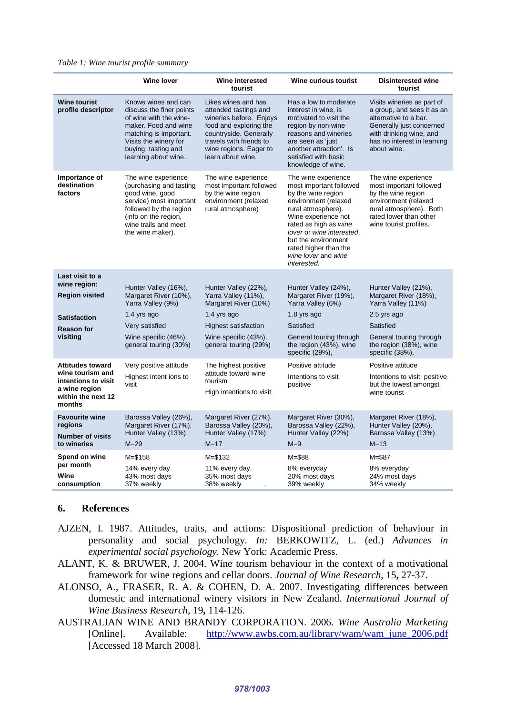|                                                                                                                     | <b>Wine lover</b>                                                                                                                                                                                   | Wine interested<br>tourist                                                                                                                                                                            | Wine curious tourist                                                                                                                                                                                                                                                                  | <b>Disinterested wine</b><br>tourist                                                                                                                                                   |
|---------------------------------------------------------------------------------------------------------------------|-----------------------------------------------------------------------------------------------------------------------------------------------------------------------------------------------------|-------------------------------------------------------------------------------------------------------------------------------------------------------------------------------------------------------|---------------------------------------------------------------------------------------------------------------------------------------------------------------------------------------------------------------------------------------------------------------------------------------|----------------------------------------------------------------------------------------------------------------------------------------------------------------------------------------|
| <b>Wine tourist</b><br>profile descriptor                                                                           | Knows wines and can<br>discuss the finer points<br>of wine with the wine-<br>maker. Food and wine<br>matching is important.<br>Visits the winery for<br>buying, tasting and<br>learning about wine. | Likes wines and has<br>attended tastings and<br>wineries before. Enjoys<br>food and exploring the<br>countryside. Generally<br>travels with friends to<br>wine regions. Eager to<br>learn about wine. | Has a low to moderate<br>interest in wine, is<br>motivated to visit the<br>region by non-wine<br>reasons and wineries<br>are seen as 'just<br>another attraction'. Is<br>satisfied with basic<br>knowledge of wine.                                                                   | Visits wineries as part of<br>a group, and sees it as an<br>alternative to a bar.<br>Generally just concerned<br>with drinking wine, and<br>has no interest in learning<br>about wine. |
| Importance of<br>destination<br>factors                                                                             | The wine experience<br>(purchasing and tasting<br>good wine, good<br>service) most important<br>followed by the region<br>(info on the region,<br>wine trails and meet<br>the wine maker).          | The wine experience<br>most important followed<br>by the wine region<br>environment (relaxed<br>rural atmosphere)                                                                                     | The wine experience<br>most important followed<br>by the wine region<br>environment (relaxed<br>rural atmosphere).<br>Wine experience not<br>rated as high as wine<br>lover or wine interested.<br>but the environment<br>rated higher than the<br>wine lover and wine<br>interested. | The wine experience<br>most important followed<br>by the wine region<br>environment (relaxed<br>rural atmosphere). Both<br>rated lower than other<br>wine tourist profiles.            |
| Last visit to a                                                                                                     |                                                                                                                                                                                                     |                                                                                                                                                                                                       |                                                                                                                                                                                                                                                                                       |                                                                                                                                                                                        |
| wine region:<br><b>Region visited</b>                                                                               | Hunter Valley (16%),<br>Margaret River (10%),<br>Yarra Valley (9%)                                                                                                                                  | Hunter Valley (22%),<br>Yarra Valley (11%),<br>Margaret River (10%)                                                                                                                                   | Hunter Valley (24%),<br>Margaret River (19%),<br>Yarra Valley (6%)                                                                                                                                                                                                                    | Hunter Valley (21%),<br>Margaret River (18%),<br>Yarra Valley (11%)                                                                                                                    |
| <b>Satisfaction</b><br><b>Reason for</b><br>visiting                                                                | 1.4 yrs ago                                                                                                                                                                                         | 1.4 yrs ago                                                                                                                                                                                           | 1.8 yrs ago                                                                                                                                                                                                                                                                           | 2.5 yrs ago                                                                                                                                                                            |
|                                                                                                                     | Very satisfied                                                                                                                                                                                      | Highest satisfaction                                                                                                                                                                                  | Satisfied                                                                                                                                                                                                                                                                             | Satisfied                                                                                                                                                                              |
|                                                                                                                     | Wine specific (46%),<br>general touring (30%)                                                                                                                                                       | Wine specific (43%),<br>general touring (29%)                                                                                                                                                         | General touring through<br>the region (43%), wine<br>specific (29%),                                                                                                                                                                                                                  | General touring through<br>the region (38%), wine<br>specific (38%),                                                                                                                   |
| <b>Attitudes toward</b><br>wine tourism and<br>intentions to visit<br>a wine region<br>within the next 12<br>months | Very positive attitude<br>The highest positive<br>attitude toward wine<br>Highest intent ions to<br>tourism<br>visit<br>High intentions to visit                                                    |                                                                                                                                                                                                       | Positive attitude                                                                                                                                                                                                                                                                     | Positive attitude                                                                                                                                                                      |
|                                                                                                                     |                                                                                                                                                                                                     | Intentions to visit<br>positive                                                                                                                                                                       | Intentions to visit positive<br>but the lowest amongst<br>wine tourist                                                                                                                                                                                                                |                                                                                                                                                                                        |
| <b>Favourite wine</b><br>regions<br><b>Number of visits</b>                                                         | Barossa Valley (26%),<br>Margaret River (17%),<br>Hunter Valley (13%)                                                                                                                               | Margaret River (27%),<br>Barossa Valley (20%),<br>Hunter Valley (17%)                                                                                                                                 | Margaret River (30%),<br>Barossa Valley (22%),<br>Hunter Valley (22%)                                                                                                                                                                                                                 | Margaret River (18%),<br>Hunter Valley (20%),<br>Barossa Valley (13%)                                                                                                                  |
| to wineries                                                                                                         | $M = 29$                                                                                                                                                                                            | $M=17$                                                                                                                                                                                                | $M = 9$                                                                                                                                                                                                                                                                               | $M = 13$                                                                                                                                                                               |
| Spend on wine<br>per month<br>Wine<br>consumption                                                                   | $M = $158$                                                                                                                                                                                          | $M = $132$                                                                                                                                                                                            | $M = $88$                                                                                                                                                                                                                                                                             | $M = $87$                                                                                                                                                                              |
|                                                                                                                     | 14% every day<br>43% most days<br>37% weekly                                                                                                                                                        | 11% every day<br>35% most days<br>38% weekly<br>$\overline{\phantom{a}}$                                                                                                                              | 8% everyday<br>20% most days<br>39% weekly                                                                                                                                                                                                                                            | 8% everyday<br>24% most days<br>34% weekly                                                                                                                                             |
|                                                                                                                     |                                                                                                                                                                                                     |                                                                                                                                                                                                       |                                                                                                                                                                                                                                                                                       |                                                                                                                                                                                        |

#### **6. References**

- <span id="page-8-3"></span>AJZEN, I. 1987. Attitudes, traits, and actions: Dispositional prediction of behaviour in personality and social psychology. *In:* BERKOWITZ, L. (ed.) *Advances in experimental social psychology.* New York: Academic Press.
- <span id="page-8-2"></span>ALANT, K. & BRUWER, J. 2004. Wine tourism behaviour in the context of a motivational framework for wine regions and cellar doors. *Journal of Wine Research,* 15**,** 27-37.
- <span id="page-8-1"></span>ALONSO, A., FRASER, R. A. & COHEN, D. A. 2007. Investigating differences between domestic and international winery visitors in New Zealand. *International Journal of Wine Business Research,* 19**,** 114-126.
- <span id="page-8-0"></span>AUSTRALIAN WINE AND BRANDY CORPORATION. 2006. *Wine Australia Marketing*  [Online]. Available: [http://www.awbs.com.au/library/wam/wam\\_june\\_2006.pdf](http://www.awbs.com.au/library/wam/wam_june_2006.pdf) [Accessed 18 March 2008].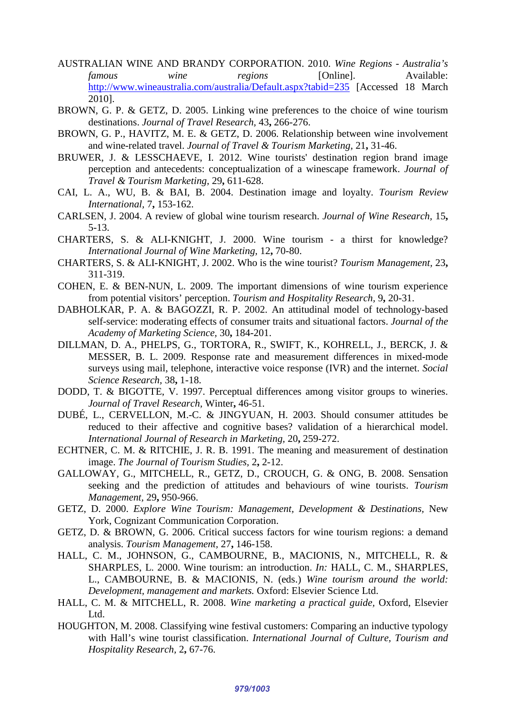- <span id="page-9-3"></span>AUSTRALIAN WINE AND BRANDY CORPORATION. 2010. *Wine Regions - Australia's famous wine regions* [Online]. Available: <http://www.wineaustralia.com/australia/Default.aspx?tabid=235> [Accessed 18 March 2010].
- <span id="page-9-10"></span>BROWN, G. P. & GETZ, D. 2005. Linking wine preferences to the choice of wine tourism destinations. *Journal of Travel Research,* 43**,** 266-276.
- <span id="page-9-12"></span>BROWN, G. P., HAVITZ, M. E. & GETZ, D. 2006. Relationship between wine involvement and wine-related travel. *Journal of Travel & Tourism Marketing,* 21**,** 31-46.
- <span id="page-9-5"></span>BRUWER, J. & LESSCHAEVE, I. 2012. Wine tourists' destination region brand image perception and antecedents: conceptualization of a winescape framework. *Journal of Travel & Tourism Marketing,* 29**,** 611-628.
- <span id="page-9-7"></span>CAI, L. A., WU, B. & BAI, B. 2004. Destination image and loyalty. *Tourism Review International,* 7**,** 153-162.
- <span id="page-9-0"></span>CARLSEN, J. 2004. A review of global wine tourism research. *Journal of Wine Research,* 15**,** 5-13.
- CHARTERS, S. & ALI-KNIGHT, J. 2000. Wine tourism a thirst for knowledge? *International Journal of Wine Marketing,* 12**,** 70-80.
- <span id="page-9-9"></span>CHARTERS, S. & ALI-KNIGHT, J. 2002. Who is the wine tourist? *Tourism Management,* 23**,** 311-319.
- <span id="page-9-13"></span>COHEN, E. & BEN-NUN, L. 2009. The important dimensions of wine tourism experience from potential visitors' perception. *Tourism and Hospitality Research,* 9**,** 20-31.
- <span id="page-9-17"></span>DABHOLKAR, P. A. & BAGOZZI, R. P. 2002. An attitudinal model of technology-based self-service: moderating effects of consumer traits and situational factors. *Journal of the Academy of Marketing Science,* 30**,** 184-201.
- <span id="page-9-16"></span>DILLMAN, D. A., PHELPS, G., TORTORA, R., SWIFT, K., KOHRELL, J., BERCK, J. & MESSER, B. L. 2009. Response rate and measurement differences in mixed-mode surveys using mail, telephone, interactive voice response (IVR) and the internet. *Social Science Research,* 38**,** 1-18.
- <span id="page-9-8"></span>DODD, T. & BIGOTTE, V. 1997. Perceptual differences among visitor groups to wineries. *Journal of Travel Research,* Winter**,** 46-51.
- <span id="page-9-18"></span>DUBÉ, L., CERVELLON, M.-C. & JINGYUAN, H. 2003. Should consumer attitudes be reduced to their affective and cognitive bases? validation of a hierarchical model. *International Journal of Research in Marketing,* 20**,** 259-272.
- <span id="page-9-4"></span>ECHTNER, C. M. & RITCHIE, J. R. B. 1991. The meaning and measurement of destination image. *The Journal of Tourism Studies,* 2**,** 2-12.
- <span id="page-9-11"></span>GALLOWAY, G., MITCHELL, R., GETZ, D., CROUCH, G. & ONG, B. 2008. Sensation seeking and the prediction of attitudes and behaviours of wine tourists. *Tourism Management,* 29**,** 950-966.
- <span id="page-9-2"></span>GETZ, D. 2000. *Explore Wine Tourism: Management, Development & Destinations,* New York, Cognizant Communication Corporation.
- <span id="page-9-6"></span>GETZ, D. & BROWN, G. 2006. Critical success factors for wine tourism regions: a demand analysis. *Tourism Management,* 27**,** 146-158.
- <span id="page-9-1"></span>HALL, C. M., JOHNSON, G., CAMBOURNE, B., MACIONIS, N., MITCHELL, R. & SHARPLES, L. 2000. Wine tourism: an introduction. *In:* HALL, C. M., SHARPLES, L., CAMBOURNE, B. & MACIONIS, N. (eds.) *Wine tourism around the world: Development, management and markets.* Oxford: Elsevier Science Ltd.
- <span id="page-9-15"></span>HALL, C. M. & MITCHELL, R. 2008. *Wine marketing a practical guide,* Oxford, Elsevier Ltd.
- <span id="page-9-14"></span>HOUGHTON, M. 2008. Classifying wine festival customers: Comparing an inductive typology with Hall's wine tourist classification. *International Journal of Culture, Tourism and Hospitality Research,* 2**,** 67-76.